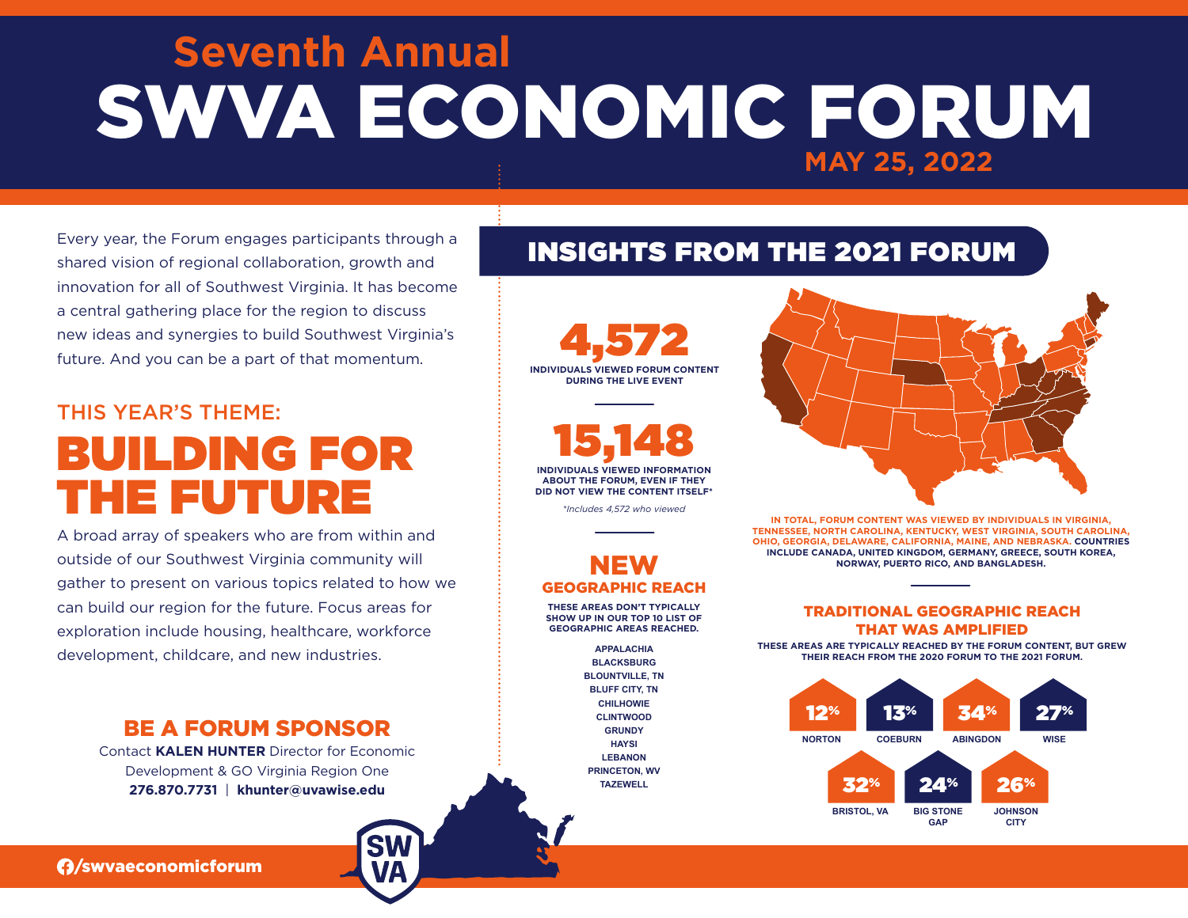# **Seventh Annual**  SWVA ECONOMIC FORUM **MAY 25, 2022**

Every year, the Forum engages participants through a shared vision of regional collaboration, growth and innovation for all of Southwest Virginia. It has become a central gathering place for the region to discuss new ideas and synergies to build Southwest Virginia's future. And you can be a part of that momentum.

## THIS YEAR'S THEME: BUILDING FOR THE FUTURE

A broad array of speakers who are from within and outside of our Southwest Virginia community will gather to present on various topics related to how we can build our region for the future. Focus areas for exploration include housing, healthcare, workforce development, childcare, and new industries.

### BE A FORUM SPONSOR

Contact **KALEN HUNTER** Director for Economic Development & GO Virginia Region One **276.870.7731** | **khunter@uvawise.edu**

### INSIGHTS FROM THE 2021 FORUM



*\*Includes 4,572 who viewed*

### NEW GEOGRAPHIC REACH

**THESE AREAS DON'T TYPICALLY SHOW UP IN OUR TOP 10 LIST OF GEOGRAPHIC AREAS REACHED.**

> **APPALACHIA BLACKSBURG BLOUNTVILLE, TN BLUFF CITY, TN CHILHOWIE CLINTWOOD GRUNDY HAYSI LEBANON PRINCETON, WV TAZEWELL**



**IN TOTAL, FORUM CONTENT WAS VIEWED BY INDIVIDUALS IN VIRGINIA, TENNESSEE, NORTH CAROLINA, KENTUCKY, WEST VIRGINIA, SOUTH CAROLINA, OHIO, GEORGIA, DELAWARE, CALIFORNIA, MAINE, AND NEBRASKA. COUNTRIES INCLUDE CANADA, UNITED KINGDOM, GERMANY, GREECE, SOUTH KOREA, NORWAY, PUERTO RICO, AND BANGLADESH.** 

#### TRADITIONAL GEOGRAPHIC REACH THAT WAS AMPLIFIED

**THESE AREAS ARE TYPICALLY REACHED BY THE FORUM CONTENT, BUT GREW THEIR REACH FROM THE 2020 FORUM TO THE 2021 FORUM.** 



/swvaeconomicforum